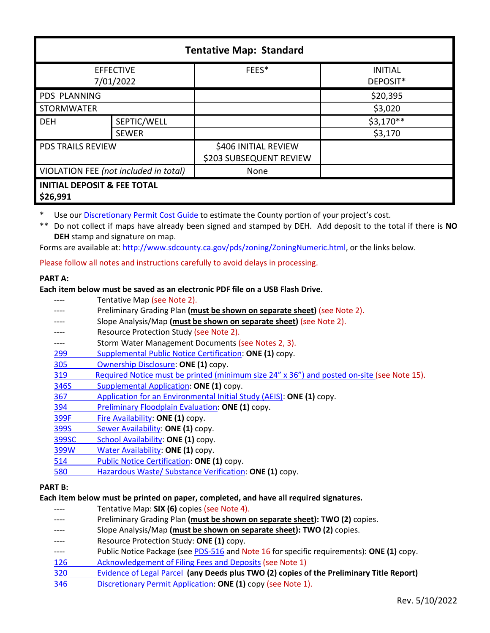| <b>Tentative Map: Standard</b>                     |              |                                                 |                            |  |
|----------------------------------------------------|--------------|-------------------------------------------------|----------------------------|--|
| <b>EFFECTIVE</b><br>7/01/2022                      |              | FEES*                                           | <b>INITIAL</b><br>DEPOSIT* |  |
| <b>PDS PLANNING</b>                                |              |                                                 | \$20,395                   |  |
| <b>STORMWATER</b>                                  |              |                                                 | \$3,020                    |  |
| <b>DEH</b>                                         | SEPTIC/WELL  |                                                 | $$3,170**$                 |  |
|                                                    | <b>SEWER</b> |                                                 | \$3,170                    |  |
| <b>PDS TRAILS REVIEW</b>                           |              | \$406 INITIAL REVIEW<br>\$203 SUBSEQUENT REVIEW |                            |  |
| VIOLATION FEE (not included in total)              |              | None                                            |                            |  |
| <b>INITIAL DEPOSIT &amp; FEE TOTAL</b><br>\$26,991 |              |                                                 |                            |  |

Use ou[r Discretionary Permit Cost Guide](http://www.sandiegocounty.gov/content/dam/sdc/pds/docs/Discretionary_Permit_Cost_Guide.xlsx) to estimate the County portion of your project's cost.

\*\* Do not collect if maps have already been signed and stamped by DEH. Add deposit to the total if there is **NO DEH** stamp and signature on map.

Forms are available at: [http://www.sdcounty.ca.gov/pds/zoning/ZoningNumeric.html,](http://www.sdcounty.ca.gov/pds/zoning/ZoningNumeric.html) or the links below.

Please follow all notes and instructions carefully to avoid delays in processing.

#### **PART A:**

**Each item below must be saved as an electronic PDF file on a USB Flash Drive.**

Tentative Map (see Note 2). Preliminary Grading Plan (**must be shown on separate sheet**) (see Note 2). Slope Analysis/Map (must be shown on separate sheet) (see Note 2). ---- Resource Protection Study (see Note 2). ---- Storm Water Management Documents (see Notes 2, 3). 299 [Supplemental Public Notice Certification:](http://www.sdcounty.ca.gov/pds/zoning/formfields/PDS-PLN-299.pdf) **ONE (1)** copy. 305 [Ownership Disclosure:](http://www.sdcounty.ca.gov/pds/zoning/formfields/PDS-PLN-305.pdf) **ONE (1)** copy. [319 Required Notice must be printed \(minimum size 24" x 36"\) and posted on-site](https://www.sandiegocounty.gov/content/dam/sdc/pds/zoning/formfields/PDS-PLN-319.pdf) (see Note 15). [346S Supplemental Application:](http://www.sdcounty.ca.gov/pds/zoning/formfields/PDS-PLN-346S.pdf) **ONE (1)** copy. 367 [Application for an Environmental Initial Study \(AEIS\):](http://www.sdcounty.ca.gov/pds/zoning/formfields/PDS-PLN-367.pdf) **ONE (1)** copy. 394 [Preliminary Floodplain Evaluation:](http://www.sdcounty.ca.gov/pds/zoning/formfields/PDS-PLN-394.pdf) **ONE (1)** copy. [399F Fire Availability:](http://www.sdcounty.ca.gov/pds/zoning/formfields/PDS-PLN-399F.pdf) **ONE (1)** copy. 399S [Sewer Availability:](http://www.sdcounty.ca.gov/pds/zoning/formfields/PDS-PLN-399S.pdf) **ONE (1)** copy. [399SC School Availability:](http://www.sdcounty.ca.gov/pds/zoning/formfields/PDS-PLN-399SC.pdf) **ONE (1)** copy. [399W Water Availability:](http://www.sdcounty.ca.gov/pds/zoning/formfields/PDS-PLN-399W.pdf) **ONE (1)** copy. 514 [Public Notice Certification:](http://www.sdcounty.ca.gov/pds/zoning/formfields/PDS-PLN-514.pdf) **ONE (1)** copy. [580 Hazardous Waste/ Substance Verification:](http://www.sdcounty.ca.gov/pds/zoning/formfields/PDS-PLN-580.pdf) **ONE (1)** copy. **PART B:** 

# **Each item below must be printed on paper, completed, and have all required signatures.**

- ---- Tentative Map: **SIX (6)** copies (see Note 4).
- Preliminary Grading Plan (must be shown on separate sheet): TWO (2) copies.
- Slope Analysis/Map (must be shown on separate sheet): TWO (2) copies.
- Resource Protection Study: ONE (1) copy.
- ---- Public Notice Package (se[e PDS-516 a](http://www.sdcounty.ca.gov/pds/zoning/formfields/PDS-PLN-516.pdf)nd Note 16 for specific requirements): **ONE (1)** copy.
- [126 Acknowledgement of Filing Fees and Deposits](http://www.sdcounty.ca.gov/pds/zoning/formfields/PDS-PLN-126.pdf) (see Note 1)
- [320 Evidence of Legal Parcel](http://www.sdcounty.ca.gov/pds/zoning/formfields/PDS-PLN-320.pdf) **(any Deeds plus TWO (2) copies of the Preliminary Title Report)**
- 346 [Discretionary Permit Application:](http://www.sdcounty.ca.gov/pds/zoning/formfields/PDS-PLN-346.pdf) **ONE (1)** copy (see Note 1).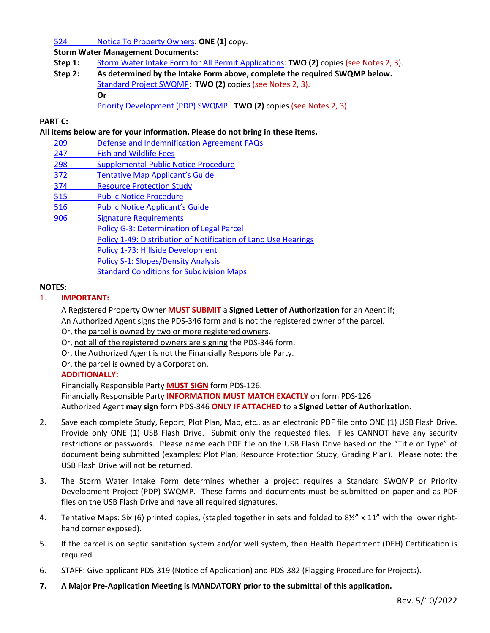### 524 [Notice To Property Owners:](http://www.sdcounty.ca.gov/pds/zoning/formfields/PDS-PLN-524.pdf) **ONE (1)** copy.

**Storm Water Management Documents:**

- **Step 1:** [Storm Water Intake Form for All Permit Applications:](http://www.sandiegocounty.gov/content/dam/sdc/pds/zoning/formfields/SWQMP-Intake-Form.pdf) **TWO (2)** copies (see Notes 2, 3).
- **Step 2: As determined by the Intake Form above, complete the required SWQMP below.** [Standard Project SWQMP:](http://www.sandiegocounty.gov/content/dam/sdc/pds/zoning/formfields/SWQMP-Standard.pdf) **TWO (2)** copies (see Notes 2, 3). **Or**
	- [Priority Development \(PDP\) SWQMP:](https://www.sandiegocounty.gov/content/sdc/dpw/watersheds/DevelopmentandConstruction/BMP_Design_Manual.html) **TWO (2)** copies (see Notes 2, 3).

### **PART C:**

### **All items below are for your information. Please do not bring in these items.**

- [209 Defense and Indemnification Agreement FAQs](http://www.sdcounty.ca.gov/pds/zoning/formfields/PDS-PLN-209.pdf)
- [247 Fish and Wildlife](http://www.sdcounty.ca.gov/pds/zoning/formfields/PDS-PLN-247.pdf) Fees
- 298 Supplemental Public Notice Procedure
- 372 [Tentative Map Applicant's Guide](http://www.sdcounty.ca.gov/pds/zoning/formfields/PDS-PLN-372.pdf)
- [374 Resource Protection Study](http://www.sdcounty.ca.gov/pds/zoning/formfields/PDS-PLN-374.pdf)
- [515 Public Notice Procedure](http://www.sdcounty.ca.gov/pds/zoning/formfields/PDS-PLN-515.pdf)
- [516 Public Notice Applicant's Guide](http://www.sdcounty.ca.gov/pds/zoning/formfields/PDS-PLN-516.pdf)
- [906 Signature Requirements](http://www.sdcounty.ca.gov/pds/zoning/formfields/PDS-PLN-906.pdf) 
	- [Policy G-3: Determination of Legal Parcel](http://www.sdcounty.ca.gov/pds/zoning/formfields/POLICY-G-3.pdf)
	- Policy 1-49: Distribution of [Notification of Land Use Hearings](http://www.sdcounty.ca.gov/cob/docs/policy/I-49.pdf)
	- [Policy 1-73: Hillside Development](http://www.sdcounty.ca.gov/cob/docs/policy/I-73.pdf)
	- Policy S-1: [Slopes/Density Analysis](http://www.sdcounty.ca.gov/pds/zoning/formfields/POLICY-S-1.pdf)
		- [Standard Conditions for Subdivision Maps](http://www.sdcounty.ca.gov/pds/zoning/formfields/StdCondTMSubDivMaps.pdf)

### **NOTES:**

### 1. **IMPORTANT:**

A Registered Property Owner **MUST SUBMIT** a **Signed Letter of Authorization** for an Agent if; An Authorized Agent signs the PDS-346 form and is not the registered owner of the parcel.

Or, the parcel is owned by two or more registered owners.

- Or, not all of the registered owners are signing the PDS-346 form.
- Or, the Authorized Agent is not the Financially Responsible Party.
- Or, the parcel is owned by a Corporation.

# **ADDITIONALLY:**

Financially Responsible Party **MUST SIGN** form PDS-126. Financially Responsible Party **INFORMATION MUST MATCH EXACTLY** on form PDS-126 Authorized Agent **may sign** form PDS-346 **ONLY IF ATTACHED** to a **Signed Letter of Authorization.** 

- 2. Save each complete Study, Report, Plot Plan, Map, etc., as an electronic PDF file onto ONE (1) USB Flash Drive. Provide only ONE (1) USB Flash Drive. Submit only the requested files. Files CANNOT have any security restrictions or passwords. Please name each PDF file on the USB Flash Drive based on the "Title or Type" of document being submitted (examples: Plot Plan, Resource Protection Study, Grading Plan). Please note: the USB Flash Drive will not be returned.
- 3. The Storm Water Intake Form determines whether a project requires a Standard SWQMP or Priority Development Project (PDP) SWQMP. These forms and documents must be submitted on paper and as PDF files on the USB Flash Drive and have all required signatures.
- 4. Tentative Maps: Six (6) printed copies, (stapled together in sets and folded to 8½" x 11" with the lower righthand corner exposed).
- 5. If the parcel is on septic sanitation system and/or well system, then Health Department (DEH) Certification is required.
- 6. STAFF: Give applicant PDS-319 (Notice of Application) and PDS-382 (Flagging Procedure for Projects).
- **7. A Major Pre-Application Meeting is MANDATORY prior to the submittal of this application.**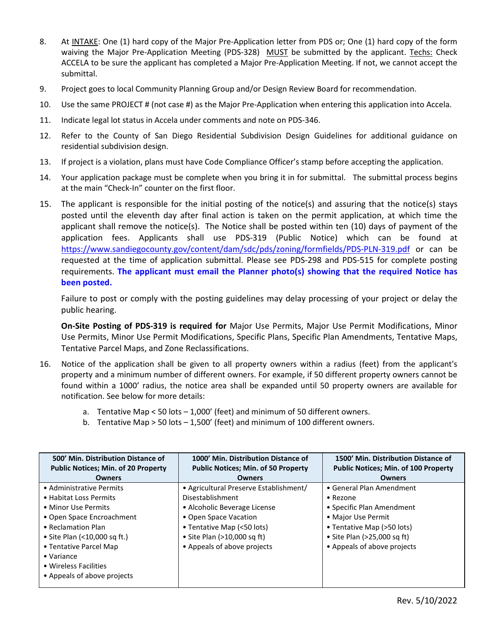- 8. At INTAKE: One (1) hard copy of the Major Pre-Application letter from PDS or; One (1) hard copy of the form waiving the Major Pre-Application Meeting (PDS-328) MUST be submitted by the applicant. Techs: Check ACCELA to be sure the applicant has completed a Major Pre-Application Meeting. If not, we cannot accept the submittal.
- 9. Project goes to local Community Planning Group and/or Design Review Board for recommendation.
- 10. Use the same PROJECT # (not case #) as the Major Pre-Application when entering this application into Accela.
- 11. Indicate legal lot status in Accela under comments and note on PDS-346.
- 12. Refer to the County of San Diego Residential Subdivision Design Guidelines for additional guidance on residential subdivision design.
- 13. If project is a violation, plans must have Code Compliance Officer's stamp before accepting the application.
- 14. Your application package must be complete when you bring it in for submittal. The submittal process begins at the main "Check-In" counter on the first floor.
- 15. The applicant is responsible for the initial posting of the notice(s) and assuring that the notice(s) stays posted until the eleventh day after final action is taken on the permit application, at which time the applicant shall remove the notice(s). The Notice shall be posted within ten (10) days of payment of the application fees. Applicants shall use PDS-319 (Public Notice) which can be found at <https://www.sandiegocounty.gov/content/dam/sdc/pds/zoning/formfields/PDS-PLN-319.pdf> or can be requested at the time of application submittal. Please see PDS-298 and PDS-515 for complete posting requirements. **The applicant must email the Planner photo(s) showing that the required Notice has been posted.**

Failure to post or comply with the posting guidelines may delay processing of your project or delay the public hearing.

**On-Site Posting of PDS-319 is required for** Major Use Permits, Major Use Permit Modifications, Minor Use Permits, Minor Use Permit Modifications, Specific Plans, Specific Plan Amendments, Tentative Maps, Tentative Parcel Maps, and Zone Reclassifications.

- 16. Notice of the application shall be given to all property owners within a radius (feet) from the applicant's property and a minimum number of different owners. For example, if 50 different property owners cannot be found within a 1000' radius, the notice area shall be expanded until 50 property owners are available for notification. See below for more details:
	- a. Tentative Map < 50 lots 1,000' (feet) and minimum of 50 different owners.
	- b. Tentative Map > 50 lots 1,500' (feet) and minimum of 100 different owners.

| 500' Min. Distribution Distance of<br><b>Public Notices; Min. of 20 Property</b> | 1000' Min. Distribution Distance of<br><b>Public Notices; Min. of 50 Property</b> | 1500' Min. Distribution Distance of<br><b>Public Notices; Min. of 100 Property</b> |
|----------------------------------------------------------------------------------|-----------------------------------------------------------------------------------|------------------------------------------------------------------------------------|
| <b>Owners</b>                                                                    | <b>Owners</b>                                                                     | Owners                                                                             |
| • Administrative Permits                                                         | • Agricultural Preserve Establishment/                                            | • General Plan Amendment                                                           |
| • Habitat Loss Permits                                                           | Disestablishment                                                                  | • Rezone                                                                           |
| • Minor Use Permits                                                              | • Alcoholic Beverage License                                                      | • Specific Plan Amendment                                                          |
| • Open Space Encroachment                                                        | • Open Space Vacation                                                             | • Major Use Permit                                                                 |
| • Reclamation Plan                                                               | • Tentative Map (<50 lots)                                                        | • Tentative Map (>50 lots)                                                         |
| • Site Plan (<10,000 sq ft.)                                                     | • Site Plan $(>10,000$ sq ft)                                                     | • Site Plan (>25,000 sq ft)                                                        |
| • Tentative Parcel Map                                                           | • Appeals of above projects                                                       | • Appeals of above projects                                                        |
| $\bullet$ Variance                                                               |                                                                                   |                                                                                    |
| • Wireless Facilities                                                            |                                                                                   |                                                                                    |
| • Appeals of above projects                                                      |                                                                                   |                                                                                    |